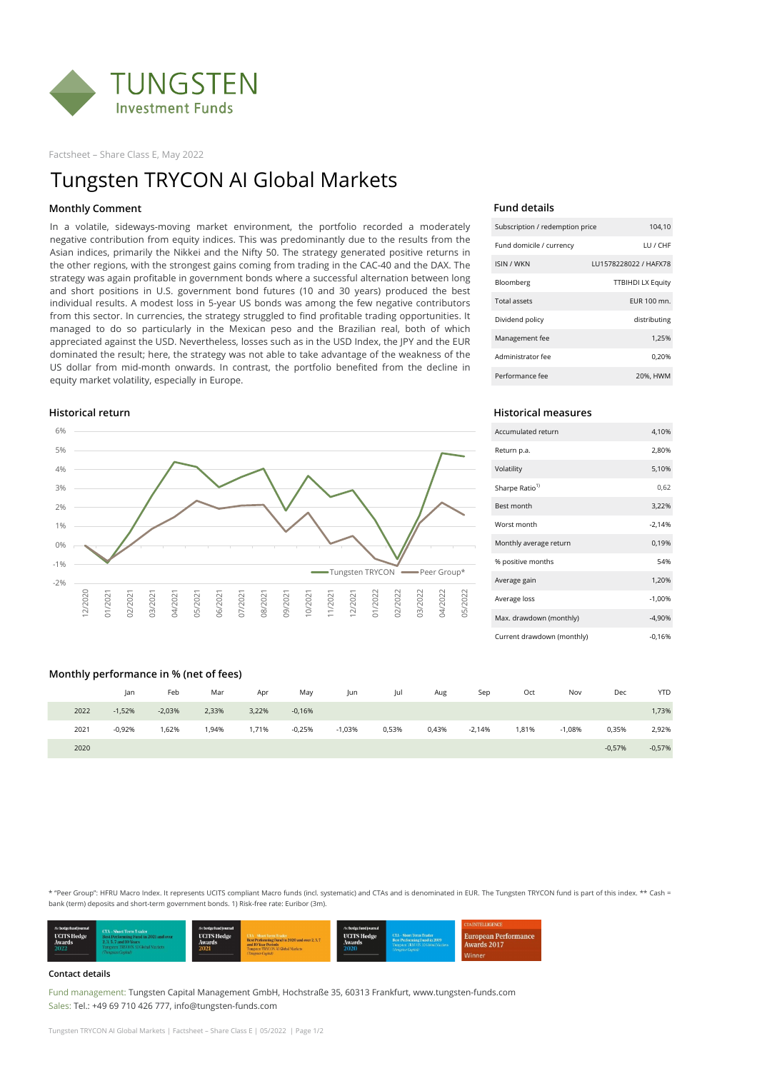

Factsheet – Share Class E, May 2022

### **Fund details**

| Subscription / redemption price | 104,10                   |
|---------------------------------|--------------------------|
| Fund domicile / currency        | IU / CHE                 |
| <b>ISIN / WKN</b>               | LU1578228022 / HAFX78    |
| Bloomberg                       | <b>TTBIHDI LX Equity</b> |
| Total assets                    | EUR 100 mn.              |
| Dividend policy                 | distributing             |
| Management fee                  | 1.25%                    |
| Administrator fee               | 0,20%                    |
| Performance fee                 | 20%, HWM                 |

# **Historical return Historical measures**

| Accumulated return         | 4,10%    |
|----------------------------|----------|
| Return p.a.                | 2,80%    |
| Volatility                 | 5,10%    |
| Sharpe Ratio <sup>1)</sup> | 0,62     |
| Best month                 | 3,22%    |
| Worst month                | $-2,14%$ |
| Monthly average return     | 0,19%    |
| % positive months          | 54%      |
| Average gain               | 1,20%    |
| Average loss               | $-1,00%$ |
| Max. drawdown (monthly)    | $-4,90%$ |
| Current drawdown (monthly) | $-0.16%$ |

## **Monthly performance in % (net of fees)**

| __   |          |          |       |       |          |          |       |       |          |       |          |          |            |
|------|----------|----------|-------|-------|----------|----------|-------|-------|----------|-------|----------|----------|------------|
|      | Jan      | Feb      | Mar   | Apr   | May      | Jun      | Jul   | Aug   | Sep      | Oct   | Nov      | Dec      | <b>YTD</b> |
| 2022 | $-1,52%$ | $-2,03%$ | 2,33% | 3,22% | $-0,16%$ |          |       |       |          |       |          |          | 1,73%      |
| 2021 | $-0,92%$ | ,62%     | 1,94% | 1,71% | $-0,25%$ | $-1,03%$ | 0,53% | 0,43% | $-2,14%$ | 1,81% | $-1,08%$ | 0,35%    | 2,92%      |
| 2020 |          |          |       |       |          |          |       |       |          |       |          | $-0,57%$ | $-0,57%$   |

### **Contact details**

Fund management: Tungsten Capital Management GmbH, Hochstraße 35, 60313 Frankfurt, www.tungsten-funds.com Sales: Tel.: +49 69 710 426 777, info@tungsten-funds.com

Tungsten TRYCON AI Global Markets | Factsheet – Share Class E | 05/2022 | Page 1/2

# Tungsten TRYCON AI Global Markets

\* "Peer Group": HFRU Macro Index. It represents UCITS compliant Macro funds (incl. systematic) and CTAs and is denominated in EUR. The Tungsten TRYCON fund is part of this index. \*\* Cash = bank (term) deposits and short-term government bonds. 1) Risk-free rate: Euribor (3m).



# **Monthly Comment**



In a volatile, sideways-moving market environment, the portfolio recorded a moderately negative contribution from equity indices. This was predominantly due to the results from the Asian indices, primarily the Nikkei and the Nifty 50. The strategy generated positive returns in the other regions, with the strongest gains coming from trading in the CAC-40 and the DAX. The strategy was again profitable in government bonds where a successful alternation between long and short positions in U.S. government bond futures (10 and 30 years) produced the best individual results. A modest loss in 5-year US bonds was among the few negative contributors from this sector. In currencies, the strategy struggled to find profitable trading opportunities. It managed to do so particularly in the Mexican peso and the Brazilian real, both of which appreciated against the USD. Nevertheless, losses such as in the USD Index, the JPY and the EUR dominated the result; here, the strategy was not able to take advantage of the weakness of the US dollar from mid-month onwards. In contrast, the portfolio benefited from the decline in equity market volatility, especially in Europe.